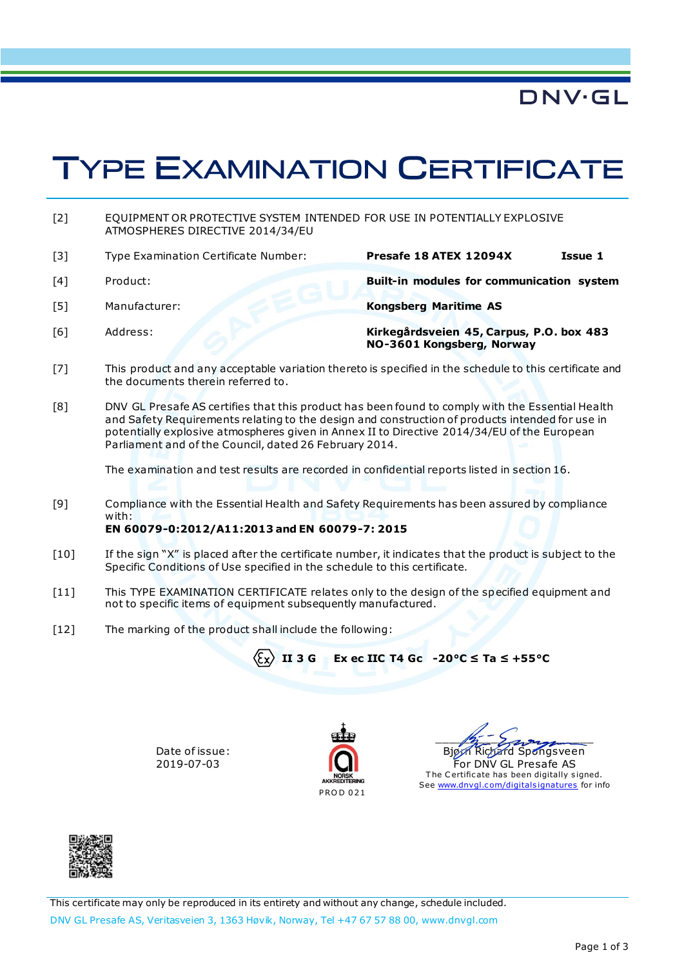**DNV·GL** 

# **TYPE EXAMINATION CERTIFICATE**

- [2] EQUIPMENT OR PROTECTIVE SYSTEM INTENDED FOR USE IN POTENTIALLY EXPLOSIVE ATMOSPHERES DIRECTIVE 2014/34/EU
- [3] Type Examination Certificate Number: **Presafe 18 ATEX 12094X Issue 1**

- [4] Product: **Built-in modules for communication system**
- 
- 

[5] Manufacturer: **Kongsberg Maritime AS**

[6] Address: **Kirkegårdsveien 45, Carpus, P.O. box 483 NO-3601 Kongsberg, Norway**

- [7] This product and any acceptable variation thereto is specified in the schedule to this certificate and the documents therein referred to.
- [8] DNV GL Presafe AS certifies that this product has been found to comply with the Essential Health and Safety Requirements relating to the design and construction of products intended for use in potentially explosive atmospheres given in Annex II to Directive 2014/34/EU of the European Parliament and of the Council, dated 26 February 2014.

The examination and test results are recorded in confidential reports listed in section 16.

[9] Compliance with the Essential Health and Safety Requirements has been assured by compliance with:

#### **EN 60079-0:2012/A11:2013 and EN 60079-7: 2015**

- [10] If the sign "X" is placed after the certificate number, it indicates that the product is subject to the Specific Conditions of Use specified in the schedule to this certificate.
- [11] This TYPE EXAMINATION CERTIFICATE relates only to the design of the specified equipment and not to specific items of equipment subsequently manufactured.
- [12] The marking of the product shall include the following:

 $\langle \xi_{\mathsf{X}} \rangle$  II 3 G **Ex** ec IIC T4 Gc  $-20^{\circ}$ C  $\leq$  Ta  $\leq +55^{\circ}$ C

Date of issue: 2019-07-03



 $12 - 72$ ard Spongsveen For DNV GL Presafe AS The Certificate has been digitally signed. See www.dnvgl.com/digitalsignatures for info

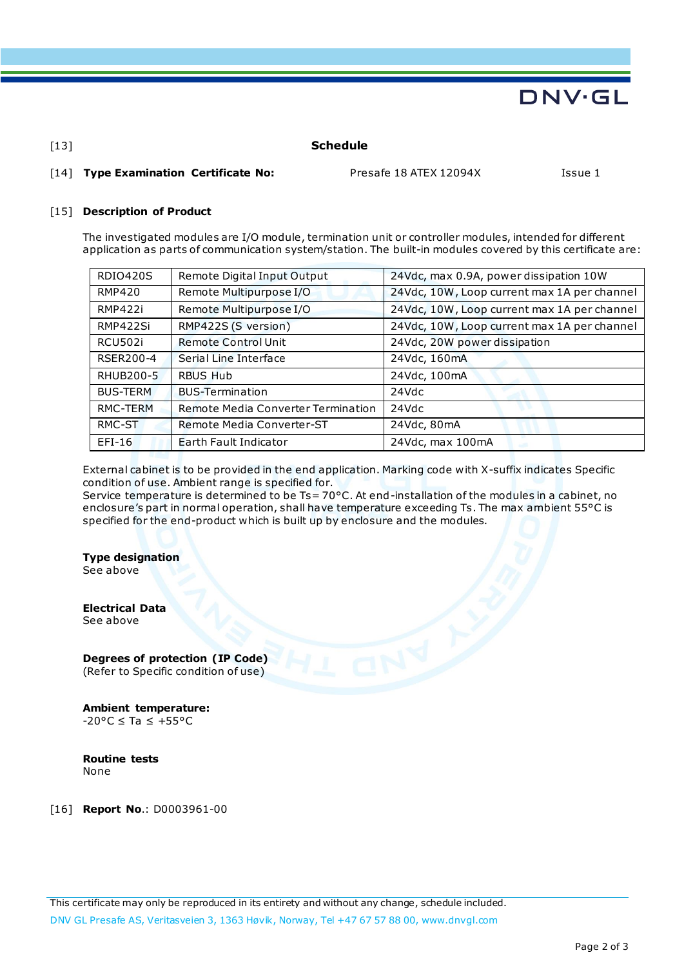## **DNV·GL**

[13] **Schedule**

#### [14] **Type Examination Certificate No:** Presafe 18 ATEX 12094X Issue 1

#### [15] **Description of Product**

The investigated modules are I/O module, termination unit or controller modules, intended for different application as parts of communication system/station. The built-in modules covered by this certificate are:

| <b>RDIO420S</b> | Remote Digital Input Output        | 24Vdc, max 0.9A, power dissipation 10W      |
|-----------------|------------------------------------|---------------------------------------------|
| RMP420          | Remote Multipurpose I/O            | 24Vdc, 10W, Loop current max 1A per channel |
| RMP422i         | Remote Multipurpose I/O            | 24Vdc, 10W, Loop current max 1A per channel |
| RMP422Si        | RMP422S (S version)                | 24Vdc, 10W, Loop current max 1A per channel |
| RCU502i         | Remote Control Unit                | 24Vdc, 20W power dissipation                |
| RSER200-4       | Serial Line Interface              | 24Vdc, 160mA                                |
| RHUB200-5       | <b>RBUS Hub</b>                    | 24Vdc, 100mA                                |
| <b>BUS-TERM</b> | <b>BUS-Termination</b>             | 24Vdc                                       |
| RMC-TERM        | Remote Media Converter Termination | 24Vdc                                       |
| RMC-ST          | Remote Media Converter-ST          | 24Vdc, 80mA                                 |
| $EFI-16$        | Earth Fault Indicator              | 24Vdc, max 100mA                            |

External cabinet is to be provided in the end application. Marking code with X-suffix indicates Specific condition of use. Ambient range is specified for.

Service temperature is determined to be Ts = 70°C. At end-installation of the modules in a cabinet, no enclosure's part in normal operation, shall have temperature exceeding Ts. The max ambient 55°C is specified for the end-product which is built up by enclosure and the modules.

#### **Type designation**

See above

#### **Electrical Data** See above

#### **Degrees of protection (IP Code)** (Refer to Specific condition of use)

### **Ambient temperature:**

-20°C ≤ Ta ≤ +55°C

**Routine tests** None

[16] **Report No**.: D0003961-00